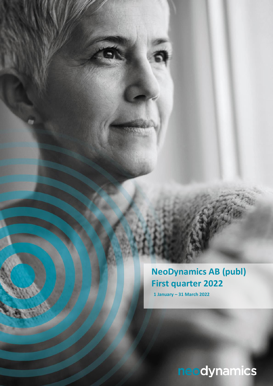**NeoDynamics AB (publ) First quarter 2022**

**1 January – 31 March 2022**

neodynamics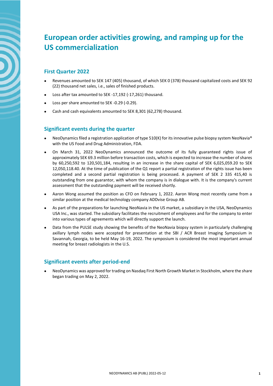# **European order activities growing, and ramping up for the US commercialization**

# **First Quarter 2022**

- Revenues amounted to SEK 147 (405) thousand, of which SEK 0 (378) thousand capitalized costs and SEK 92 (22) thousand net sales, i.e., sales of finished products.
- Loss after tax amounted to SEK -17,192 (-17,261) thousand.
- Loss per share amounted to SEK -0.29 (-0.29).
- Cash and cash equivalents amounted to SEK 8,301 (62,278) thousand.

## **Significant events during the quarter**

- NeoDynamics filed a registration application of type 510(K) for its innovative pulse biopsy system NeoNavia® with the US Food and Drug Administration, FDA.
- On March 31, 2022 NeoDynamics announced the outcome of its fully guaranteed rights issue of approximately SEK 69.3 million before transaction costs, which is expected to increase the number of shares by 60,250,592 to 120,501,184, resulting in an increase in the share capital of SEK 6,025,059.20 to SEK 12,050,118.40. At the time of publication of the Q1 report a partial registration of the rights issue has been completed and a second partial registration is being processed. A payment of SEK 2 335 415,40 is outstanding from one guarantor, with whom the company is in dialogue with. It is the company's current assessment that the outstanding payment will be received shortly.
- Aaron Wong assumed the position as CFO on February 1, 2022. Aaron Wong most recently came from a similar position at the medical technology company ADDvise Group AB.
- As part of the preparations for launching NeoNavia in the US market, a subsidiary in the USA, NeoDynamics USA Inc., was started. The subsidiary facilitates the recruitment of employees and for the company to enter into various types of agreements which will directly support the launch.
- Data from the PULSE study showing the benefits of the NeoNavia biopsy system in particularly challenging axillary lymph nodes were accepted for presentation at the SBI / ACR Breast Imaging Symposium in Savannah, Georgia, to be held May 16-19, 2022. The symposium is considered the most important annual meeting for breast radiologists in the U.S.

## **Significant events after period-end**

• NeoDynamics was approved for trading on Nasdaq First North Growth Market in Stockholm, where the share began trading on May 2, 2022.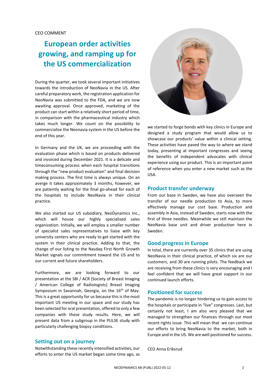# **European order activities growing, and ramping up for the US commercialization**

During the quarter, we took several important initiatives towards the introduction of NeoNavia in the US. After careful preparatory work, the registration application for NeoNavia was submitted to the FDA, and we are now awaiting approval. Once approved, marketing of the product can start within a relatively short period of time, in comparison with the pharmaceutical industry which takes much longer. We count on the possibility to commercialise the Neonavia system in the US before the end of this year.

In Germany and the UK, we are proceeding with the evaluation phase which is based on products delivered and invoiced during December 2021. It is a delicate and timeconsuming process when each hospital transitions through the "new product evaluation" and final decision making process. The first time is always unique. On an averge it takes approximately 3 months, however, we are patiently waiting for the final go-ahead for each of the hospitals to include NeoNavia in their clinical practice.

We also started our US subsidiary, NeoDynamics Inc., which will house our highly specialised sales organization. Initially, we will employ a smaller number of specialist sales representatives to liaise with key university centers who are ready to get started with the system in their clinical practice. Adding to that, the change of our listing to the Nasdaq First North Growth Market signals our commitment toward the US and to our current and future shareholders.

Furthermore, we are looking forward to our presentation at the SBI / ACR (Society of Breast Imaging / American College of Radiologists) Breast Imaging Symposium in Savannah, Georgia, on the  $16<sup>th</sup>$  of May. This is a great opportunity for us because this is the most important US meeting in our space and our study has been selected for oral presentation, offered to only a few companies with these study results. Here, we will present data from a subgroup in the PULSE study with particularly challenging biopsy conditions.

#### **Setting out on a journey**

Notwithstanding these recently intensified activities, our efforts to enter the US market began some time ago, as



we started to forge bonds with key clinics in Europe and designed a study program that would allow us to showcase our products' value within a clinical setting. These activities have paved the way to where we stand today, presenting at important congresses and seeing the benefits of independent advocates with clinical experience using our product. This is an important point of reference when you enter a new market such as the USA.

#### **Product transfer underway**

From our base in Sweden, we have also overseen the transfer of our needle production to Asia, to more effectively manage our cost base. Production and assembly in Asia, instead of Sweden, starts now with the first of three needles. Meanwhile we still maintain the NeoNavia base unit and driver production here in Sweden.

#### **Good progress in Europe**

In total, there are currently over 35 clinics that are using NeoNavia in their clinical practice, of which six are our customers, and 30 are running pilots. The feedback we are receiving from these clinics is very encouraging and I feel confident that we will have great support in our continued launch efforts.

#### **Positioned for success**

The pandemic is no longer hindering us to gain access to the hospitals or participate in "live" congresses. Last, but certainly not least, I am also very pleased that we managed to strengthen our finances through our most recent rights issue. This will mean that we can continue our efforts to bring NeoNavia to the market, both in Europe and in the US. We are well positioned for success.

CEO Anna Eriksrud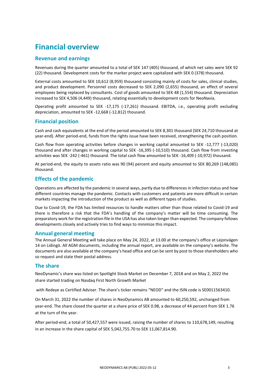# **Financial overview**

### **Revenue and earnings**

Revenues during the quarter amounted to a total of SEK 147 (405) thousand, of which net sales were SEK 92 (22) thousand. Development costs for the marker project were capitalized with SEK 0 (378) thousand.

External costs amounted to SEK 10,612 (8,959) thousand consisting mainly of costs for sales, clinical studies, and product development. Personnel costs decreased to SEK 2,090 (2,655) thousand, an effect of several employees being replaced by consultants. Cost of goods amounted to SEK 48 (1,554) thousand. Depreciation increased to SEK 4,506 (4,449) thousand, relating essentially to development costs for NeoNavia.

Operating profit amounted to SEK -17,175 (-17,261) thousand. EBITDA, i.e., operating profit excluding depreciation, amounted to SEK -12,668 (-12,812) thousand.

### **Financial position**

Cash and cash equivalents at the end of the period amounted to SEK 8,301 thousand (SEK 24,710 thousand at year-end). After period-end, funds from the rights issue have been received, strengthening the cash position.

Cash flow from operating activities before changes in working capital amounted to SEK -12,777 (-13,020) thousand and after changes in working capital to SEK -16,395 (-10,510) thousand. Cash flow from investing activities was SEK -242 (-461) thousand. The total cash flow amounted to SEK -16,409 (-10,972) thousand.

At period-end, the equity to assets ratio was 90 (94) percent and equity amounted to SEK 80,269 (148,085) thousand.

### **Effects of the pandemic**

Operations are affected by the pandemic in several ways, partly due to differences in infection status and how different countries manage the pandemic. Contacts with customers and patients are more difficult in certain markets impacting the introduction of the product as well as different types of studies.

Due to Covid-19, the FDA has limited resources to handle matters other than those related to Covid-19 and there is therefore a risk that the FDA's handling of the company's matter will be time consuming. The preparatory work for the registration file in the USA has also taken longer than expected. The company follows developments closely and actively tries to find ways to minimize this impact.

#### **Annual general meeting**

The Annual General Meeting will take place on May 24, 2022, at 13.00 at the company's office at Lejonvägen 14 on Lidingö. All AGM documents, including the annual report, are available on the company's website. The documents are also available at the company's head office and can be sent by post to those shareholders who so request and state their postal address.

#### **The share**

NeoDynamic's share was listed on Spotlight Stock Market on December 7, 2018 and on May 2, 2022 the share started trading on Nasdaq First North Growth Market

with Redeye as Certified Adviser. The share's ticker remains "NEOD" and the ISIN code is SE0011563410.

On March 31, 2022 the number of shares in NeoDynamics AB amounted to 60,250,592, unchanged from year-end. The share closed the quarter at a share price of SEK 0.98, a decrease of 44 percent from SEK 1.76 at the turn of the year.

After period-end, a total of 50,427,557 were issued, raising the number of shares to 110,678,149, resulting in an increase in the share capital of SEK 5,042,755.70 to SEK 11,067,814.90.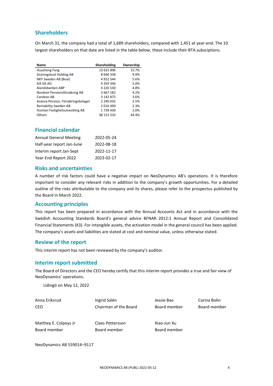## **Shareholders**

On March 31, the company had a total of 1,689 shareholders, compared with 1,451 at year-end. The 10 largest shareholders on that date are listed in the table below, these include their BTA subsciptions.

| Name                               | Shareholding  | Ownership |
|------------------------------------|---------------|-----------|
| Huasheng Fang                      | 13 631 896    | 15.7%     |
| Gryningskust Holding AB            | 8646338       | 9.9%      |
| NKY Sweden AB (Boai)               | 4922544       | 5.6%      |
| SIX SIS AG                         | 4 3 5 9 3 4 6 | 5.0%      |
| Alandsbanken ABP                   | 4 2 2 6 5 3 0 | 4.8%      |
| Nordnet Pensionsförsäkring AB      | 3 667 182     | 4.2%      |
| Cardeon AB                         | 3 142 875     | 3.6%      |
| Avanza Pension, Försäkringsbolaget | 2 240 032     | 2.5%      |
| Rentability Sweden AB              | 2016490       | 2.3%      |
| Humlan Fastighetsutveckling AB     | 1739430       | 2.0%      |
| Others                             | 38 151 533    | 44.4%     |

## **Financial calendar**

| <b>Annual General Meeting</b> | 2022-05-24 |
|-------------------------------|------------|
| Half-year report Jan-June     | 2022-08-18 |
| Interim report Jan-Sept       | 2022-11-17 |
| Year-End Report 2022          | 2023-02-17 |

#### **Risks and uncertainties**

A number of risk factors could have a negative impact on NeoDynamics AB's operations. It is therefore important to consider any relevant risks in addition to the company's growth opportunities. For a detailed outline of the risks attributable to the company and its shares, please refer to the prospectus published by the Board in March 2022.

#### **Accounting principles**

This report has been prepared in accordance with the Annual Accounts Act and in accordance with the Swedish Accounting Standards Board's general advice BFNAR 2012:1 Annual Report and Consolidated Financial Statements (K3). For intangible assets, the activation model in the general council has been applied. The company's assets and liabilities are stated at cost and nominal value, unless otherwise stated.

### **Review of the report**

This interim report has not been reviewed by the company's auditor.

#### **Interim report submitted**

The Board of Directors and the CEO hereby certify that this interim report provides a true and fair view of NeoDynamics' operations.

Lidingö on May 12, 2022

| Anna Eriksrud         | Ingrid Salén          | Jessie Bao   | Carina Bolin |
|-----------------------|-----------------------|--------------|--------------|
| <b>CEO</b>            | Chairman of the Board | Board member | Board member |
| Matthey E. Colpoys Jr | Claes Pettersson      | Xiao-Jun Xu  |              |
| Board member          | Board member          | Board member |              |

NeoDynamics AB 559014–9117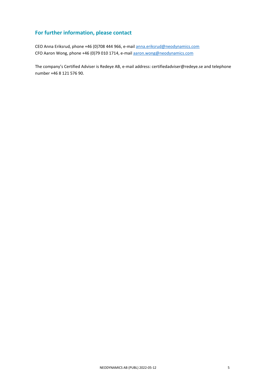# **For further information, please contact**

CEO Anna Eriksrud, phone +46 (0)708 444 966, e-mail [anna.eriksrud@neodynamics.com](mailto:anna.eriksrud@neodynamics.com) CFO Aaron Wong, phone +46 (0)79 010 1714, e-mai[l aaron.wong@neodynamics.com](mailto:aaron.wong@neodynamics.com)

The company's Certified Adviser is Redeye AB, e-mail address: certifiedadviser@redeye.se and telephone number +46 8 121 576 90.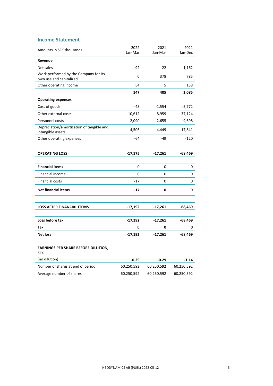| <b>Income Statement</b>                                          |                 |                 |                 |
|------------------------------------------------------------------|-----------------|-----------------|-----------------|
| Amounts in SEK thousands                                         | 2022<br>Jan-Mar | 2021<br>Jan-Mar | 2021<br>Jan-Dec |
| Revenue                                                          |                 |                 |                 |
| Net sales                                                        | 92              | 22              | 1,162           |
| Work performed by the Company for its<br>own use and capitalized | 0               | 378             | 785             |
| Other operating income                                           | 54              | 5               | 138             |
|                                                                  | 147             | 405             | 2,085           |
| <b>Operating expenses</b>                                        |                 |                 |                 |
| Cost of goods                                                    | -48             | $-1,554$        | $-5,772$        |
| Other external costs                                             | $-10,612$       | $-8,959$        | $-37,124$       |
| Personnel costs                                                  | $-2,090$        | $-2,655$        | $-9,698$        |
| Depreciation/amortization of tangible and<br>intangible assets   | $-4,506$        | -4,449          | -17,841         |
| Other operating expenses                                         | $-64$           | -49             | $-120$          |
|                                                                  |                 |                 |                 |
| <b>OPERATING LOSS</b>                                            | $-17,175$       | $-17,261$       | $-68,469$       |
|                                                                  |                 |                 |                 |
| <b>Financial items</b>                                           | 0               | 0               | 0               |
| Financial income                                                 | 0               | 0               | 0               |
| <b>Financial costs</b>                                           | $-17$           | 0               | 0               |
| <b>Net financial items</b>                                       | -17             | 0               | 0               |
| <b>LOSS AFTER FINANCIAL ITEMS</b>                                | $-17,192$       | $-17,261$       | -68,469         |
|                                                                  |                 |                 |                 |
| Loss before tax                                                  | $-17,192$       | $-17,261$       | -68,469         |
| Tax                                                              | 0               | 0               | 0               |
| <b>Net loss</b>                                                  | $-17,192$       | $-17,261$       | -68,469         |
|                                                                  |                 |                 |                 |
| <b>EARNINGS PER SHARE BEFORE DILUTION,</b><br><b>SEK</b>         |                 |                 |                 |
| (no dilution)                                                    | $-0.29$         | $-0.29$         | $-1.14$         |
| Number of shares at end of period                                | 60,250,592      | 60,250,592      | 60,250,592      |
| Average number of shares                                         | 60,250,592      | 60,250,592      | 60,250,592      |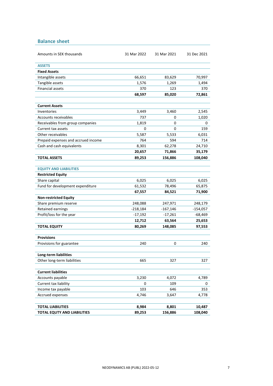**Balance sheet**

| Amounts in SEK thousands            | 31 Mar 2022     | 31 Mar 2021      | 31 Dec 2021       |  |
|-------------------------------------|-----------------|------------------|-------------------|--|
| <b>ASSETS</b>                       |                 |                  |                   |  |
| <b>Fixed Assets</b>                 |                 |                  |                   |  |
| Intangible assets                   | 66,651          | 83,629           | 70,997            |  |
| Tangible assets                     | 1,576           | 1,269            | 1,494             |  |
| <b>Financial assets</b>             | 370             | 123              | 370               |  |
|                                     | 68,597          | 85,020           | 72,861            |  |
|                                     |                 |                  |                   |  |
| <b>Current Assets</b>               |                 |                  |                   |  |
| Inventories                         | 3,449           | 3,460            | 2,545             |  |
| Accounts receivables                | 737             | 0                | 1,020             |  |
| Receivables from group companies    | 1,819           | 0                | 0                 |  |
| Current tax assets                  | 0               | 0                | 159               |  |
| Other receivables                   | 5,587           | 5,533            | 6,031             |  |
| Prepaid expenses and accrued income | 764             | 594              | 714               |  |
| Cash and cash equivalents           | 8,301           | 62,278           | 24,710            |  |
|                                     | 20,657          | 71,866           | 35,179            |  |
| <b>TOTAL ASSETS</b>                 | 89,253          | 156,886          | 108,040           |  |
|                                     |                 |                  |                   |  |
| <b>EQUITY AND LIABILITIES</b>       |                 |                  |                   |  |
| <b>Restricted Equity</b>            |                 |                  |                   |  |
| Share capital                       | 6,025           | 6,025            | 6,025             |  |
| Fund for development expenditure    | 61,532          | 78,496           | 65,875            |  |
|                                     | 67,557          | 84,521           | 71,900            |  |
| <b>Non-restricted Equity</b>        |                 |                  |                   |  |
| Share premium reserve               | 248,088         | 247,971          | 248,179           |  |
| <b>Retained earnings</b>            | $-218,184$      | $-167,146$       | $-154,057$        |  |
| Profit/loss for the year            | $-17,192$       | $-17,261$        | $-68,469$         |  |
|                                     | 12,712          | 63,564           | 25,653            |  |
| <b>TOTAL EQUITY</b>                 | 80,269          | 148,085          | 97,553            |  |
|                                     |                 |                  |                   |  |
| <b>Provisions</b>                   |                 |                  |                   |  |
| Provisions for guarantee            | 240             | 0                | 240               |  |
|                                     |                 |                  |                   |  |
| Long-term liabilities               |                 |                  |                   |  |
| Other long-term liabilities         | 665             | 327              | 327               |  |
|                                     |                 |                  |                   |  |
| <b>Current liabilities</b>          |                 |                  |                   |  |
| Accounts payable                    | 3,230           | 4,072            | 4,789             |  |
| Current tax liability               | 0               | 109              | 0                 |  |
| Income tax payable                  | 103             | 646<br>3,647     | 353               |  |
| Accrued expenses                    | 4,746           |                  | 4,778             |  |
| <b>TOTAL LIABILITIES</b>            |                 |                  |                   |  |
| TOTAL EQUTY AND LIABILITIES         | 8,984<br>89,253 | 8,801<br>156,886 | 10,487<br>108,040 |  |
|                                     |                 |                  |                   |  |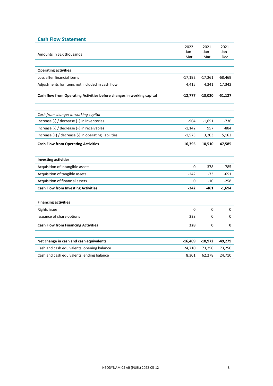## **Cash Flow Statement**

|                                                                       | 2022        | 2021        | 2021        |
|-----------------------------------------------------------------------|-------------|-------------|-------------|
| Amounts in SEK thousands                                              | Jan-<br>Mar | Jan-<br>Mar | Jan-<br>Dec |
|                                                                       |             |             |             |
| <b>Operating activities</b>                                           |             |             |             |
| Loss after financial items                                            | $-17,192$   | $-17,261$   | $-68,469$   |
| Adjustments for items not included in cash flow                       | 4,415       | 4,241       | 17,342      |
| Cash flow from Operating Activities before changes in working capital | -12,777     | $-13,020$   | -51,127     |
| Cash from changes in working capital                                  |             |             |             |
| Increase $(-)$ / decrease $(+)$ in inventories                        | $-904$      | $-1,651$    | $-736$      |
| Increase (-) / decrease (+) in receivables                            | $-1,142$    | 957         | $-884$      |
| Increase (+) / decrease (-) in operating liabilities                  | $-1,573$    | 3,203       | 5,162       |
| <b>Cash Flow from Operating Activities</b>                            | $-16,395$   | $-10,510$   | -47,585     |
|                                                                       |             |             |             |
| <b>Investing activities</b>                                           |             |             |             |
| Acquisition of intangible assets                                      | 0           | $-378$      | $-785$      |
| Acquisition of tangible assets                                        | $-242$      | $-73$       | -651        |
| Acquisition of financial assets                                       | 0           | $-10$       | -258        |
| <b>Cash Flow from Investing Activities</b>                            | $-242$      | $-461$      | $-1,694$    |
| <b>Financing activities</b>                                           |             |             |             |
| Rights issue                                                          | $\Omega$    | 0           | 0           |
| Issuance of share options                                             | 228         | 0           | 0           |
|                                                                       |             |             |             |
| <b>Cash Flow from Financing Activities</b>                            | 228         | 0           | 0           |
|                                                                       |             |             |             |
| Net change in cash and cash equivalents                               | $-16,409$   | $-10,972$   | -49,279     |
| Cash and cash equivalents, opening balance                            | 24,710      | 73,250      | 73,250      |
| Cash and cash equivalents, ending balance                             | 8,301       | 62,278      | 24,710      |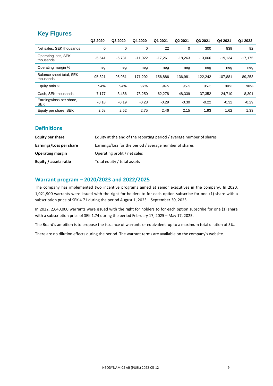# **Key Figures**

|                                        | Q2 2020  | Q3 2020  | Q4 2020   | Q1 2021   | Q <sub>2</sub> 2021 | Q3 2021   | Q4 2021   | Q1 2022   |
|----------------------------------------|----------|----------|-----------|-----------|---------------------|-----------|-----------|-----------|
| Net sales, SEK thousands               | 0        | 0        | 0         | 22        | 0                   | 300       | 839       | 92        |
| Operating loss, SEK<br>thousands       | $-5,541$ | $-6,731$ | $-11,022$ | $-17.261$ | $-18,263$           | $-13.066$ | $-19,134$ | $-17,175$ |
| Operating margin %                     | neg      | neg      | neg       | neg       | neg                 | neg       | neg       | neg       |
| Balance sheet total, SEK<br>thousands  | 95.321   | 95.981   | 171,292   | 156.886   | 136,981             | 122,242   | 107.881   | 89,253    |
| Equity ratio %                         | 94%      | 94%      | 97%       | 94%       | 95%                 | 95%       | 90%       | 90%       |
| Cash, SEK thousands                    | 7,177    | 3,486    | 73.250    | 62,278    | 48,339              | 37.352    | 24,710    | 8,301     |
| Earnings/loss per share,<br><b>SEK</b> | $-0.18$  | $-0.19$  | $-0.28$   | $-0.29$   | $-0.30$             | $-0.22$   | $-0.32$   | $-0.29$   |
| Equity per share, SEK                  | 2.68     | 2.52     | 2.75      | 2.46      | 2.15                | 1.93      | 1.62      | 1.33      |

## **Definitions**

| Equity per share        | Equity at the end of the reporting period / average number of shares |
|-------------------------|----------------------------------------------------------------------|
| Earnings/Loss per share | Earnings/loss for the period / average number of shares              |
| <b>Operating margin</b> | Operating profit / net sales                                         |
| Equity / assets ratio   | Total equity / total assets                                          |

## **Warrant program – 2020/2023 and 2022/2025**

The company has implemented two incentive programs aimed at senior executives in the company. In 2020, 1,021,900 warrants were issued with the right for holders to for each option subscribe for one (1) share with a subscription price of SEK 4.71 during the period August 1, 2023 – September 30, 2023.

In 2022, 2,640,000 warrants were issued with the right for holders to for each option subscribe for one (1) share with a subscription price of SEK 1.74 during the period February 17, 2025 – May 17, 2025.

The Board's ambition is to propose the issuance of warrants or equivalent up to a maximum total dilution of 5%.

There are no dilution effects during the period. The warrant terms are available on the company's website.